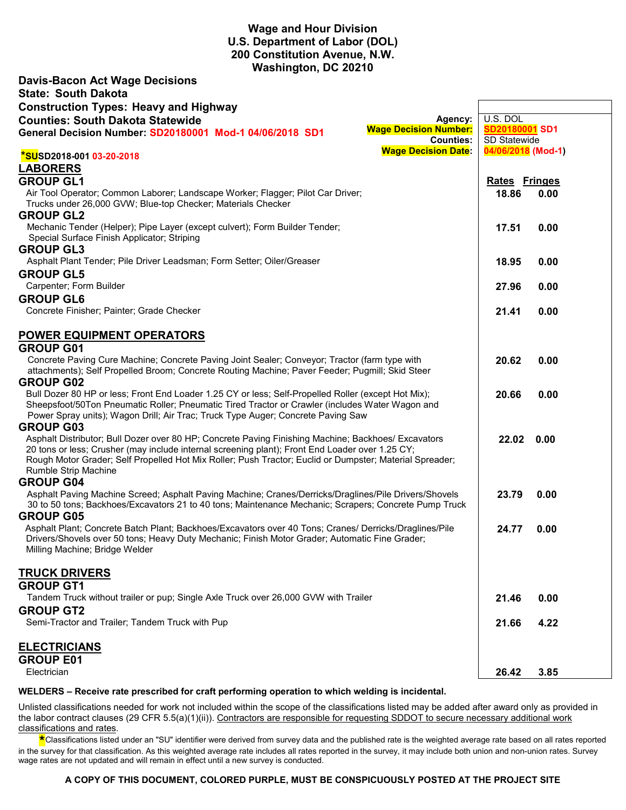# **Wage and Hour Division U.S. Department of Labor (DOL) 200 Constitution Avenue, N.W. Washington, DC 20210**

**Davis-Bacon Act Wage Decisions**

| <b>State: South Dakota</b>                                                                                                                                                                                 |                      |  |
|------------------------------------------------------------------------------------------------------------------------------------------------------------------------------------------------------------|----------------------|--|
| <b>Construction Types: Heavy and Highway</b>                                                                                                                                                               |                      |  |
| <b>Counties: South Dakota Statewide</b><br>Agency:                                                                                                                                                         | U.S. DOL             |  |
| <b>Wage Decision Number:</b><br>General Decision Number: SD20180001 Mod-1 04/06/2018 SD1                                                                                                                   | SD20180001 SD1       |  |
| <b>Counties:</b>                                                                                                                                                                                           | SD Statewide         |  |
| <b>Wage Decision Date:</b><br><b>*SUSD2018-001 03-20-2018</b>                                                                                                                                              | 04/06/2018 (Mod-1)   |  |
| <b>LABORERS</b>                                                                                                                                                                                            |                      |  |
| <b>GROUP GL1</b>                                                                                                                                                                                           | <b>Rates Fringes</b> |  |
| Air Tool Operator; Common Laborer; Landscape Worker; Flagger; Pilot Car Driver;                                                                                                                            | 18.86<br>0.00        |  |
| Trucks under 26,000 GVW; Blue-top Checker; Materials Checker                                                                                                                                               |                      |  |
| <b>GROUP GL2</b>                                                                                                                                                                                           |                      |  |
| Mechanic Tender (Helper); Pipe Layer (except culvert); Form Builder Tender;                                                                                                                                | 17.51<br>0.00        |  |
| Special Surface Finish Applicator; Striping                                                                                                                                                                |                      |  |
| <b>GROUP GL3</b>                                                                                                                                                                                           |                      |  |
| Asphalt Plant Tender; Pile Driver Leadsman; Form Setter; Oiler/Greaser                                                                                                                                     | 18.95<br>0.00        |  |
| <b>GROUP GL5</b>                                                                                                                                                                                           |                      |  |
| Carpenter; Form Builder<br><b>GROUP GL6</b>                                                                                                                                                                | 27.96<br>0.00        |  |
| Concrete Finisher; Painter; Grade Checker                                                                                                                                                                  | 21.41                |  |
|                                                                                                                                                                                                            | 0.00                 |  |
| POWER EQUIPMENT OPERATORS                                                                                                                                                                                  |                      |  |
| <b>GROUP G01</b>                                                                                                                                                                                           |                      |  |
| Concrete Paving Cure Machine; Concrete Paving Joint Sealer; Conveyor; Tractor (farm type with                                                                                                              | 20.62<br>0.00        |  |
| attachments); Self Propelled Broom; Concrete Routing Machine; Paver Feeder; Pugmill; Skid Steer                                                                                                            |                      |  |
| <b>GROUP G02</b>                                                                                                                                                                                           |                      |  |
| Bull Dozer 80 HP or less; Front End Loader 1.25 CY or less; Self-Propelled Roller (except Hot Mix);                                                                                                        | 20.66<br>0.00        |  |
| Sheepsfoot/50Ton Pneumatic Roller; Pneumatic Tired Tractor or Crawler (includes Water Wagon and                                                                                                            |                      |  |
| Power Spray units); Wagon Drill; Air Trac; Truck Type Auger; Concrete Paving Saw                                                                                                                           |                      |  |
| <b>GROUP G03</b>                                                                                                                                                                                           |                      |  |
| Asphalt Distributor; Bull Dozer over 80 HP; Concrete Paving Finishing Machine; Backhoes/ Excavators                                                                                                        | 22.02<br>0.00        |  |
| 20 tons or less; Crusher (may include internal screening plant); Front End Loader over 1.25 CY;<br>Rough Motor Grader; Self Propelled Hot Mix Roller; Push Tractor; Euclid or Dumpster; Material Spreader; |                      |  |
| Rumble Strip Machine                                                                                                                                                                                       |                      |  |
| <b>GROUP G04</b>                                                                                                                                                                                           |                      |  |
| Asphalt Paving Machine Screed; Asphalt Paving Machine; Cranes/Derricks/Draglines/Pile Drivers/Shovels                                                                                                      | 23.79<br>0.00        |  |
| 30 to 50 tons; Backhoes/Excavators 21 to 40 tons; Maintenance Mechanic; Scrapers; Concrete Pump Truck                                                                                                      |                      |  |
| <b>GROUP G05</b>                                                                                                                                                                                           |                      |  |
| Asphalt Plant; Concrete Batch Plant; Backhoes/Excavators over 40 Tons; Cranes/ Derricks/Draglines/Pile                                                                                                     | 24.77<br>0.00        |  |
| Drivers/Shovels over 50 tons; Heavy Duty Mechanic; Finish Motor Grader; Automatic Fine Grader;                                                                                                             |                      |  |
| Milling Machine; Bridge Welder                                                                                                                                                                             |                      |  |
| <u>TRUCK DRIVERS</u>                                                                                                                                                                                       |                      |  |
| <b>GROUP GT1</b>                                                                                                                                                                                           |                      |  |
| Tandem Truck without trailer or pup; Single Axle Truck over 26,000 GVW with Trailer                                                                                                                        | 21.46<br>0.00        |  |
| <b>GROUP GT2</b>                                                                                                                                                                                           |                      |  |
| Semi-Tractor and Trailer; Tandem Truck with Pup                                                                                                                                                            | 21.66<br>4.22        |  |
|                                                                                                                                                                                                            |                      |  |
| <b>ELECTRICIANS</b>                                                                                                                                                                                        |                      |  |
| <b>GROUP E01</b>                                                                                                                                                                                           |                      |  |
| Electrician                                                                                                                                                                                                | 3.85<br>26.42        |  |
|                                                                                                                                                                                                            |                      |  |

#### **WELDERS – Receive rate prescribed for craft performing operation to which welding is incidental.**

Unlisted classifications needed for work not included within the scope of the classifications listed may be added after award only as provided in the labor contract clauses (29 CFR 5.5(a)(1)(ii)). Contractors are responsible for requesting SDDOT to secure necessary additional work classifications and rates.

 **\***Classifications listed under an "SU" identifier were derived from survey data and the published rate is the weighted average rate based on all rates reported in the survey for that classification. As this weighted average rate includes all rates reported in the survey, it may include both union and non-union rates. Survey wage rates are not updated and will remain in effect until a new survey is conducted.